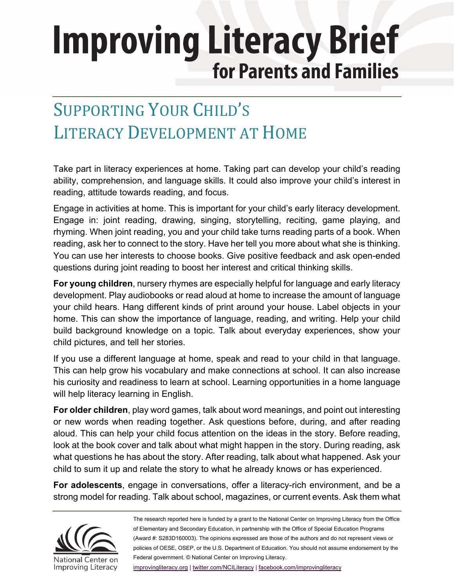# **Improving Literacy Brief** for Parents and Families

### SUPPORTING YOUR CHILD'S LITERACY DEVELOPMENT AT HOME

Take part in literacy experiences at home. Taking part can develop your child's reading ability, comprehension, and language skills. It could also improve your child's interest in reading, attitude towards reading, and focus.

Engage in activities at home. This is important for your child's early literacy development. Engage in: joint reading, drawing, singing, storytelling, reciting, game playing, and rhyming. When joint reading, you and your child take turns reading parts of a book. When reading, ask her to connect to the story. Have her tell you more about what she is thinking. You can use her interests to choose books. Give positive feedback and ask open-ended questions during joint reading to boost her interest and critical thinking skills.

**For young children**, nursery rhymes are especially helpful for language and early literacy development. Play audiobooks or read aloud at home to increase the amount of language your child hears. Hang different kinds of print around your house. Label objects in your home. This can show the importance of language, reading, and writing. Help your child build background knowledge on a topic. Talk about everyday experiences, show your child pictures, and tell her stories.

If you use a different language at home, speak and read to your child in that language. This can help grow his vocabulary and make connections at school. It can also increase his curiosity and readiness to learn at school. Learning opportunities in a home language will help literacy learning in English.

**For older children**, play word games, talk about word meanings, and point out interesting or new words when reading together. Ask questions before, during, and after reading aloud. This can help your child focus attention on the ideas in the story. Before reading, look at the book cover and talk about what might happen in the story. During reading, ask what questions he has about the story. After reading, talk about what happened. Ask your child to sum it up and relate the story to what he already knows or has experienced.

**For adolescents**, engage in conversations, offer a literacy-rich environment, and be a strong model for reading. Talk about school, magazines, or current events. Ask them what



The research reported here is funded by a grant to the National Center on Improving Literacy from the Office of Elementary and Secondary Education, in partnership with the Office of Special Education Programs (Award #: S283D160003). The opinions expressed are those of the authors and do not represent views or policies of OESE, OSEP, or the U.S. Department of Education. You should not assume endorsement by the Federal government. © National Center on Improving Literacy.

[improvingliteracy.org |](https://improvingliteracy.org/) [twitter.com/NCILiteracy](https://twitter.com/NCILiteracy) | [facebook.com/improvingliteracy](http://facebook.com/improvingliteracy)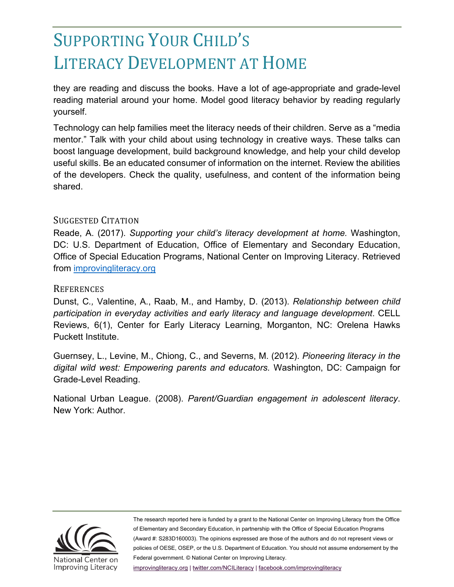### SUPPORTING YOUR CHILD'S LITERACY DEVELOPMENT AT HOME

they are reading and discuss the books. Have a lot of age-appropriate and grade-level reading material around your home. Model good literacy behavior by reading regularly yourself.

Technology can help families meet the literacy needs of their children. Serve as a "media mentor." Talk with your child about using technology in creative ways. These talks can boost language development, build background knowledge, and help your child develop useful skills. Be an educated consumer of information on the internet. Review the abilities of the developers. Check the quality, usefulness, and content of the information being shared.

#### SUGGESTED CITATION

Reade, A. (2017). *Supporting your child's literacy development at home.* Washington, DC: U.S. Department of Education, Office of Elementary and Secondary Education, Office of Special Education Programs, National Center on Improving Literacy. Retrieved from [improvingliteracy.org](http://improvingliteracy.org/)

#### **REFERENCES**

Dunst, C*.,* Valentine, A., Raab, M., and Hamby, D. (2013). *Relationship between child participation in everyday activities and early literacy and language development*. CELL Reviews, 6(1), Center for Early Literacy Learning, Morganton, NC: Orelena Hawks Puckett Institute.

Guernsey, L., Levine, M., Chiong, C., and Severns, M. (2012). *Pioneering literacy in the digital wild west: Empowering parents and educators.* Washington, DC: Campaign for Grade-Level Reading.

National Urban League. (2008). *Parent/Guardian engagement in adolescent literacy*. New York: Author.



The research reported here is funded by a grant to the National Center on Improving Literacy from the Office of Elementary and Secondary Education, in partnership with the Office of Special Education Programs (Award #: S283D160003). The opinions expressed are those of the authors and do not represent views or policies of OESE, OSEP, or the U.S. Department of Education. You should not assume endorsement by the Federal government. © National Center on Improving Literacy.

[improvingliteracy.org |](https://improvingliteracy.org/) [twitter.com/NCILiteracy](https://twitter.com/NCILiteracy) | [facebook.com/improvingliteracy](http://facebook.com/improvingliteracy)